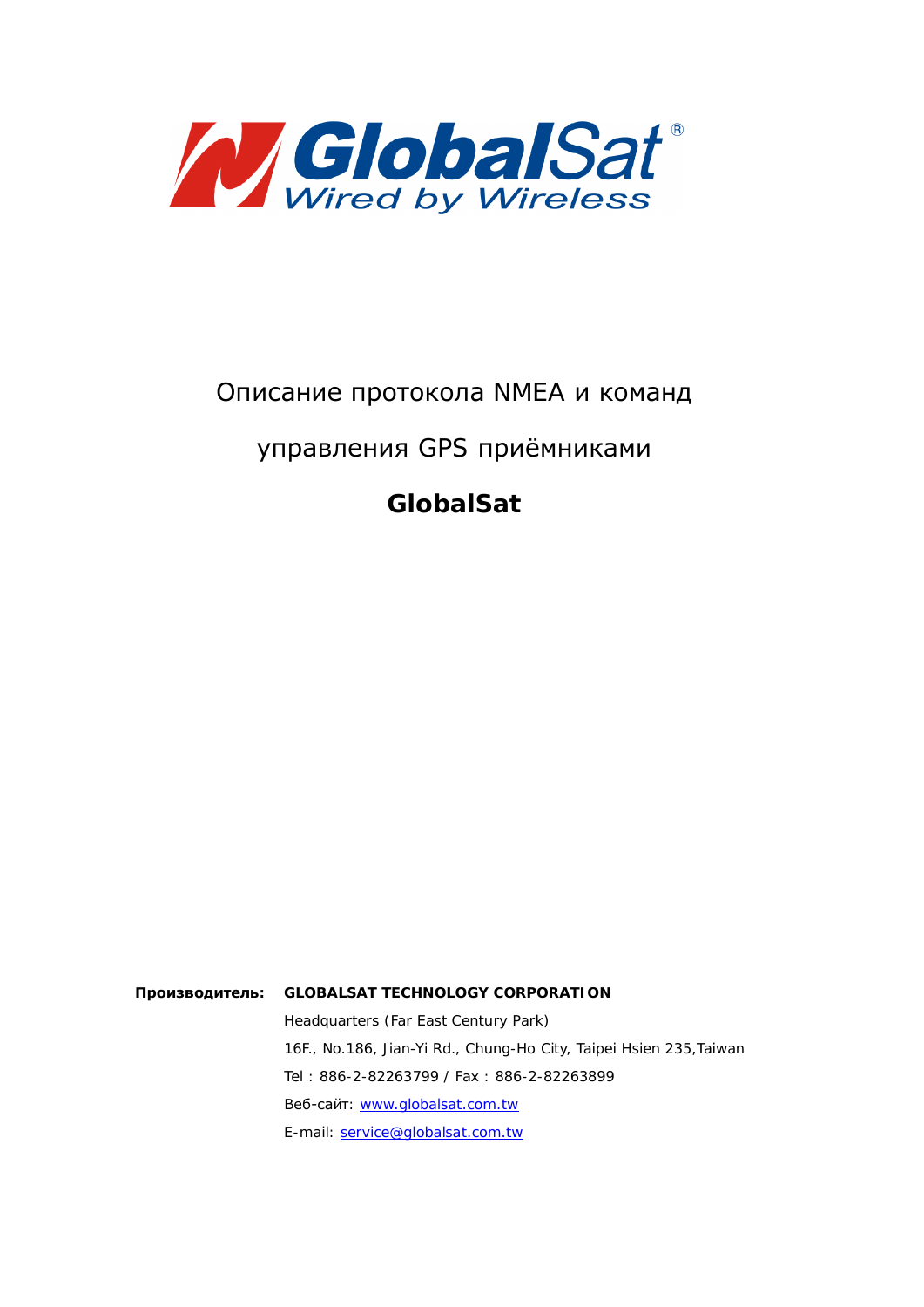

# Описание протокола NMEA и команд

# управления GPS приёмниками

**GlobalSat**

Производитель: GLOBALSAT TECHNOLOGY CORPORATION Headquarters (Far East Century Park) 16F., No.186, Jian-Yi Rd., Chung-Ho City, Taipei Hsien 235,Taiwan Tel : 886-2-82263799 / Fax : 886-2-82263899 Веб-сайт: [www.globalsat.com.tw](http://www.globalsat.com.tw) E-mail: [service@globalsat.com.tw](mailto:service@globalsat.com.tw)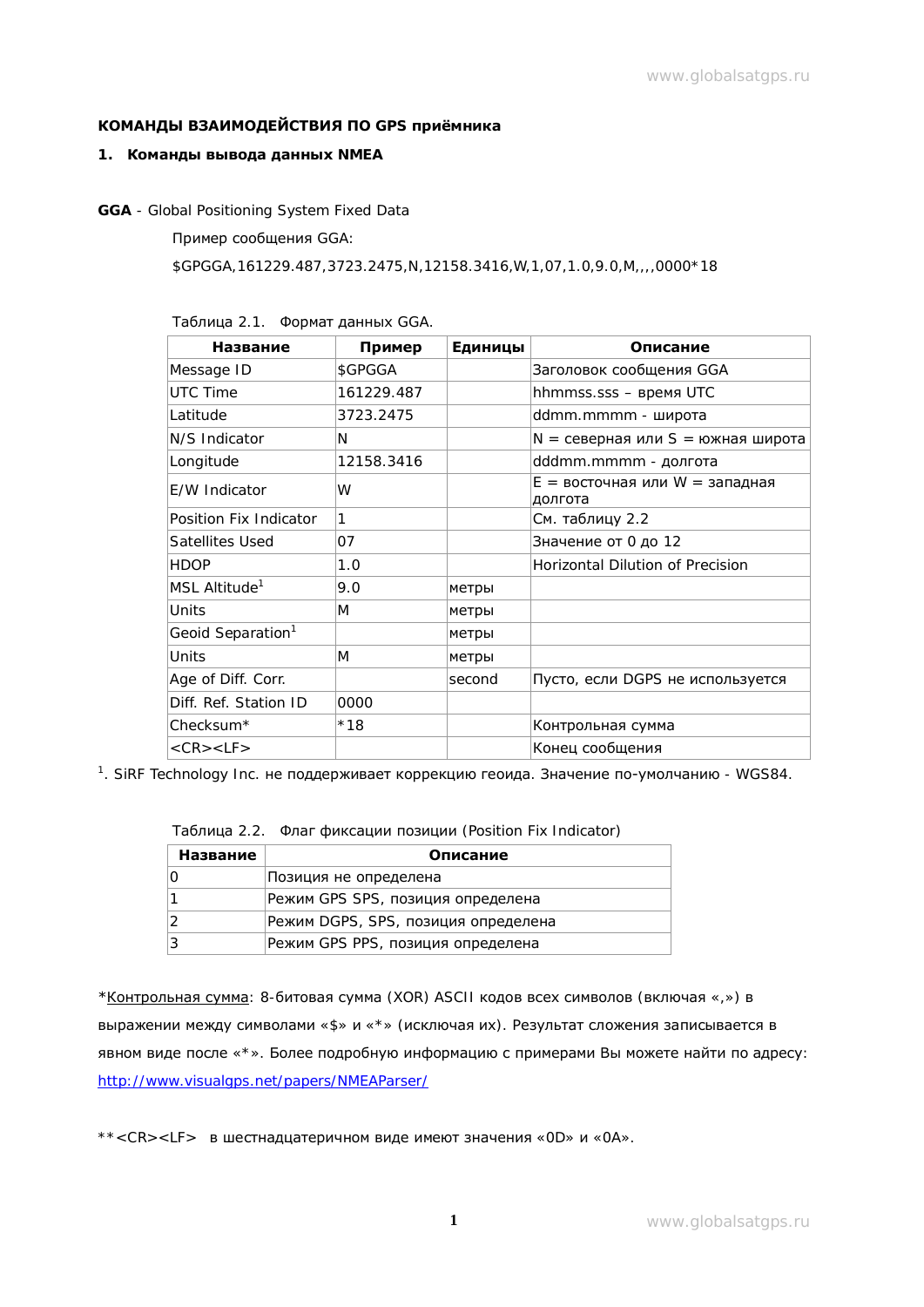# КОМАНДЫ ВЗАИМОДЕЙСТВИЯ ПО GPS приёмника

### 1. **Команды вывода данных** NMEA

**GGA** - Global Positioning System Fixed Data

Пример сообщения GGA:

\$GPGGA,161229.487,3723.2475,N,12158.3416,W,1,07,1.0,9.0,M,,,,0000\*18

| Название                      | Пример     | Единицы | Описание                                    |
|-------------------------------|------------|---------|---------------------------------------------|
| Message ID                    | \$GPGGA    |         | Заголовок сообщения GGA                     |
| <b>UTC Time</b>               | 161229.487 |         | hhmmss.sss - время UTC                      |
| Latitude                      | 3723.2475  |         | ddmm.mmmm - широта                          |
| N/S Indicator                 | N          |         | $N =$ северная или S = южная широта         |
| Longitude                     | 12158.3416 |         | dddmm.mmmm - долгота                        |
| E/W Indicator                 | W          |         | $E =$ восточная или W = западная<br>долгота |
| Position Fix Indicator        | 1          |         | См. таблицу 2.2                             |
| Satellites Used               | 07         |         | Значение от 0 до 12                         |
| <b>HDOP</b>                   | 1.0        |         | Horizontal Dilution of Precision            |
| MSL Altitude <sup>1</sup>     | 9.0        | метры   |                                             |
| Units                         | M          | метры   |                                             |
| Geoid Separation <sup>1</sup> |            | метры   |                                             |
| Units                         | M          | метры   |                                             |
| Age of Diff. Corr.            |            | second  | Пусто, если DGPS не используется            |
| Diff. Ref. Station ID         | 0000       |         |                                             |
| Checksum*                     | $*18$      |         | Контрольная сумма                           |
| $<$ CR $>$ $<$ LF $>$         |            |         | Конец сообщения                             |

Таблица 2.1. Формат данных GGA.

 $^1$ . SiRF Technology Inc. не поддерживает коррекцию геоида. Значение по-умолчанию - WGS84.

|  | Таблица 2.2. Флаг фиксации позиции (Position Fix Indicator) |  |
|--|-------------------------------------------------------------|--|
|--|-------------------------------------------------------------|--|

| Название | Описание                            |
|----------|-------------------------------------|
| Ο        | Позиция не определена               |
|          | Режим GPS SPS, позиция определена   |
| 2        | Режим DGPS, SPS, позиция определена |
| 3        | Режим GPS PPS, позиция определена   |

\* Контрольная сумма: 8-битовая сумма (XOR) ASCII кодов всех символов (включая «,») в выражении между символами «\$» и «\*» (исключая их). Результат сложения записывается в явном виде после «\*». Более подробную информацию с примерами Вы можете найти по адресу: <http://www.visualgps.net/papers/NMEAParser/>

\*\*<CR><LF> в шестнадцатеричном виде имеют значения «0D» и «0A».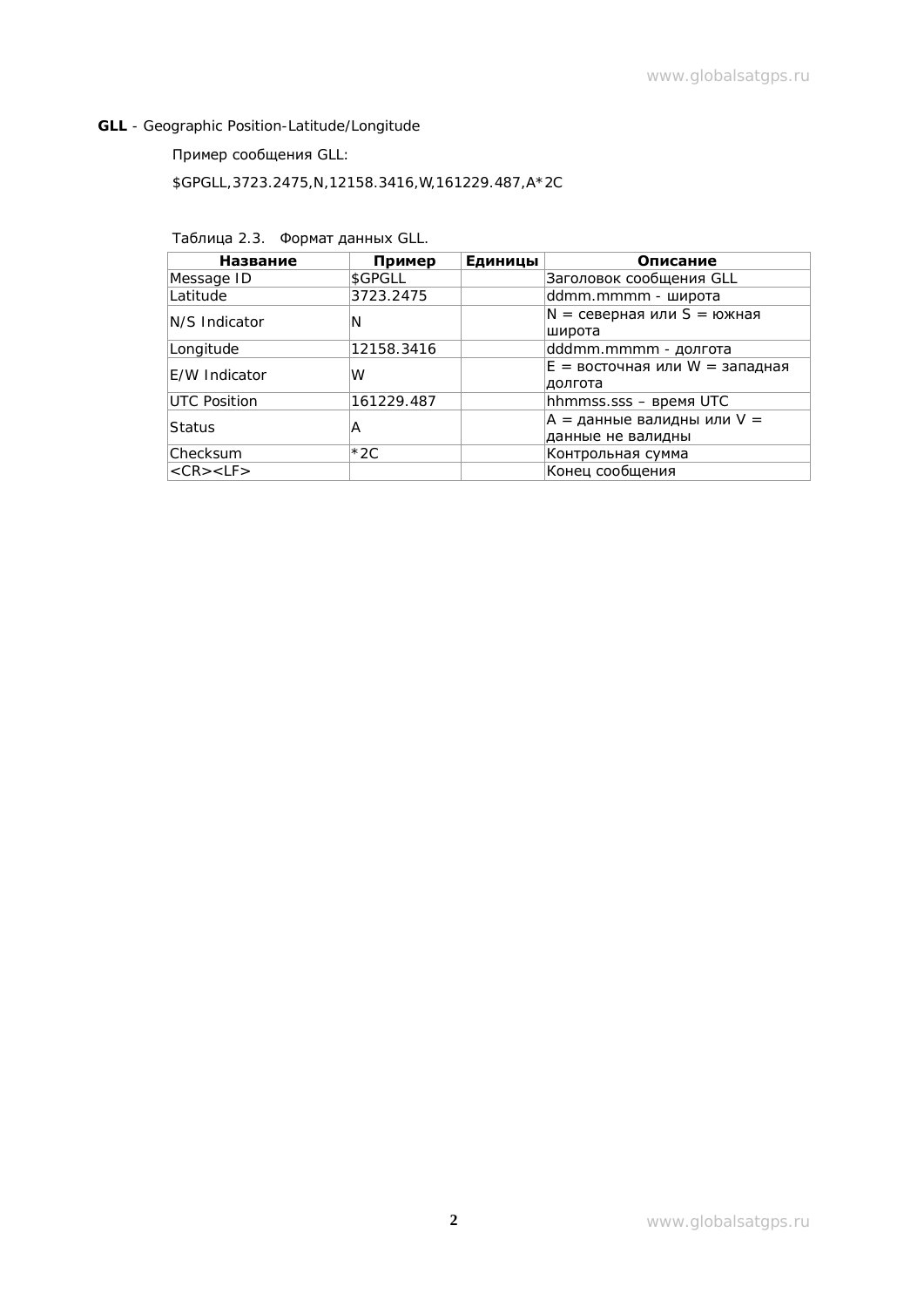## **GLL** - Geographic Position-Latitude/Longitude

# Пример сообщения GLL:

\$GPGLL,3723.2475,N,12158.3416,W,161229.487,A\*2C

## Таблица 2.3. Формат данных GLL.

| Название              | Пример     | Единицы | Описание                           |
|-----------------------|------------|---------|------------------------------------|
| Message ID            | \$GPGLL    |         | Заголовок сообщения GLL            |
| Latitude              | 3723.2475  |         | ddmm.mmmm - широта                 |
| IN/S Indicator        | N          |         | $N =$ северная или S = южная       |
|                       |            |         | широта                             |
| Longitude             | 12158.3416 |         | dddmm.mmmm - долгота               |
| E/W Indicator         | W          |         | $E =$ восточная или $W =$ западная |
|                       |            |         | долгота                            |
| UTC Position          | 161229.487 |         | hhmmss.sss - время UTC             |
| Status                | Α          |         | A = данные валидны или V =         |
|                       |            |         | данные не валидны                  |
| Checksum              | $*2C$      |         | Контрольная сумма                  |
| $<$ CR $>$ $<$ LF $>$ |            |         | Конец сообщения                    |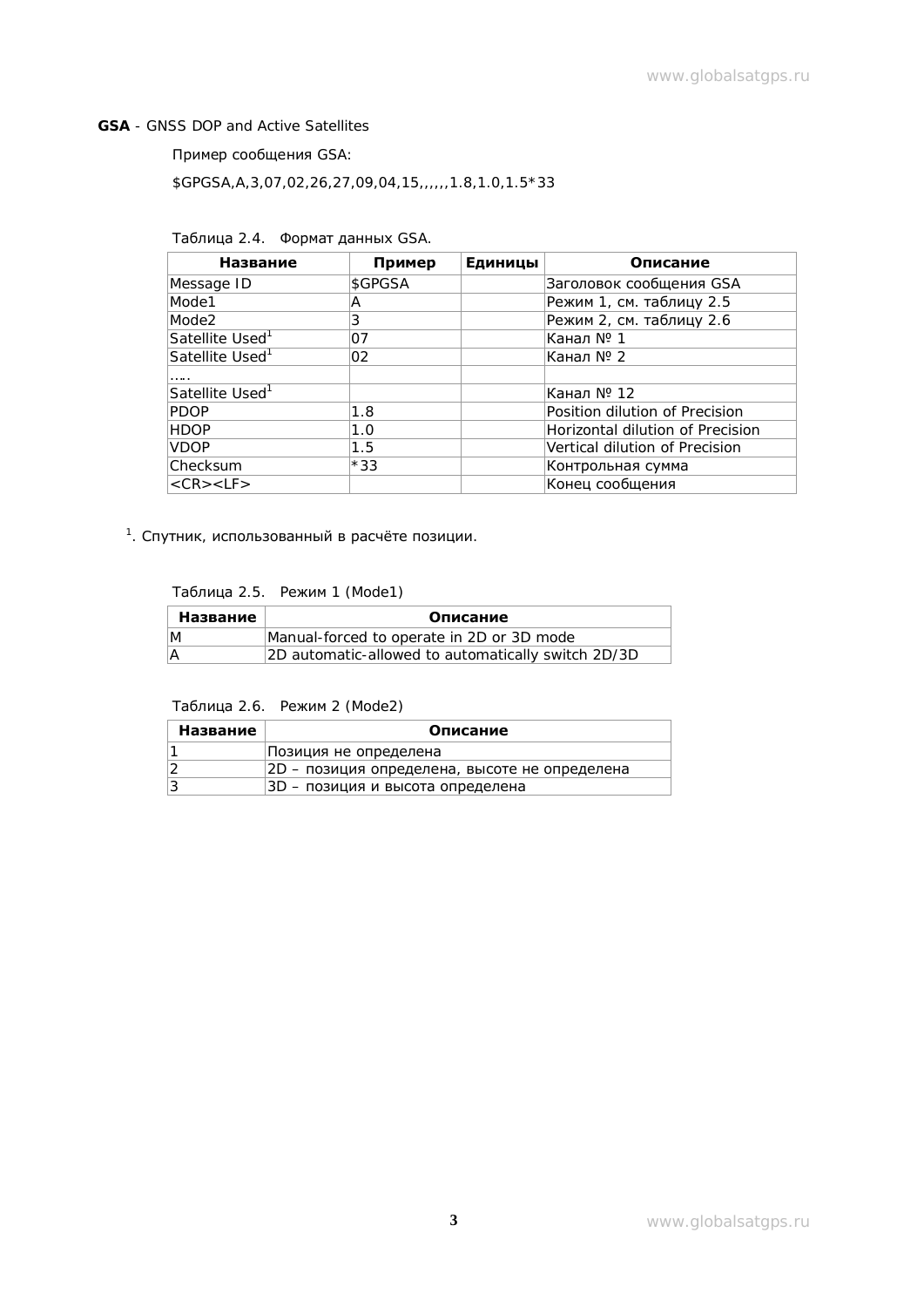#### **GSA** - GNSS DOP and Active Satellites

Пример сообщения GSA:

\$GPGSA,A,3,07,02,26,27,09,04,15,,,,,,1.8,1.0,1.5\*33

Таблица 2.4. Формат данных GSA.

| Название                    | Пример  | Единицы | Описание                         |
|-----------------------------|---------|---------|----------------------------------|
| Message ID                  | \$GPGSA |         | Заголовок сообщения GSA          |
| Mode1                       | A       |         | Режим 1, см. таблицу 2.5         |
| Mode2                       | 3       |         | Режим 2, см. таблицу 2.6         |
| Satellite Used <sup>1</sup> | 07      |         | Канал № 1                        |
| Satellite Used <sup>1</sup> | 02      |         | Канал № 2                        |
| .                           |         |         |                                  |
| Satellite Used <sup>1</sup> |         |         | Канал № 12                       |
| <b>PDOP</b>                 | 1.8     |         | Position dilution of Precision   |
| <b>HDOP</b>                 | 1.0     |         | Horizontal dilution of Precision |
| <b>VDOP</b>                 | 1.5     |         | Vertical dilution of Precision   |
| Checksum                    | $*33$   |         | Контрольная сумма                |
| $<$ CR $>$ $<$ LF $>$       |         |         | Конец сообщения                  |

<sup>1</sup>. Спутник, использованный в расчёте позиции.

Таблица 2.5. Режим 1 (Mode1)

| Название | Описание                                           |
|----------|----------------------------------------------------|
| ΙM       | Manual-forced to operate in 2D or 3D mode          |
|          | 2D automatic-allowed to automatically switch 2D/3D |

Таблица 2.6. Режим 2 (Mode2)

| Название | Описание                                      |  |  |
|----------|-----------------------------------------------|--|--|
|          | Позиция не определена                         |  |  |
|          | 2D - позиция определена, высоте не определена |  |  |
| 13       | 3D – позиция и высота определена              |  |  |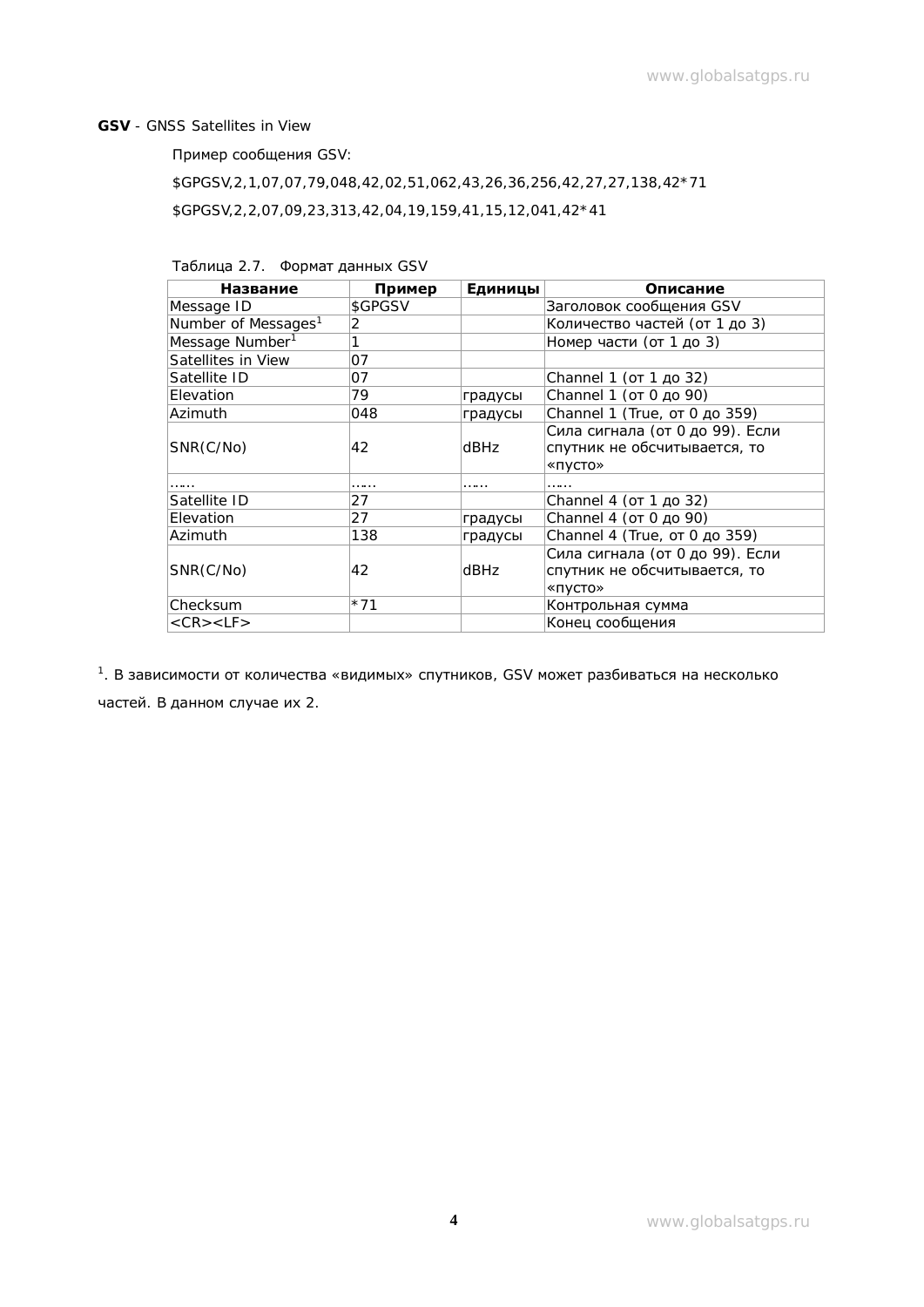#### **GSV** - GNSS Satellites in View

Пример сообщения GSV:

\$GPGSV,2,1,07,07,79,048,42,02,51,062,43,26,36,256,42,27,27,138,42\*71 \$GPGSV,2,2,07,09,23,313,42,04,19,159,41,15,12,041,42\*41

| Таблица 2.7. Формат данных GSV |
|--------------------------------|
|                                |

| Название                        | Пример  | Единицы | Описание                        |
|---------------------------------|---------|---------|---------------------------------|
| Message ID                      | \$GPGSV |         | Заголовок сообщения GSV         |
| Number of Messages <sup>1</sup> | 2       |         | Количество частей (от 1 до 3)   |
| Message Number <sup>1</sup>     |         |         | Номер части (от 1 до 3)         |
| Satellites in View              | 07      |         |                                 |
| Satellite ID                    | 07      |         | Channel 1 (от 1 до 32)          |
| Elevation                       | 79      | градусы | Channel 1 (от 0 до 90)          |
| Azimuth                         | 048     | градусы | Channel 1 (True, от 0 до 359)   |
|                                 |         |         | Сила сигнала (от 0 до 99). Если |
| SNR(C/No)                       | 42      | dBHz    | спутник не обсчитывается, то    |
|                                 |         |         | «пусто»                         |
|                                 | .       | .       |                                 |
| Satellite ID                    | 27      |         | Channel 4 (от 1 до 32)          |
| Elevation                       | 27      | градусы | Channel 4 (от 0 до 90)          |
| Azimuth                         | 138     | градусы | Channel 4 (True, от 0 до 359)   |
|                                 |         |         | Сила сигнала (от 0 до 99). Если |
| SNR(C/No)                       | 42      | dBHz    | спутник не обсчитывается, то    |
|                                 |         |         | «пусто»                         |
| Checksum                        | $*71$   |         | Контрольная сумма               |
| $<$ CR $>$ $<$ LF $>$           |         |         | Конец сообщения                 |

 $1.$  В зависимости от количества «видимых» спутников, GSV может разбиваться на несколько частей. В данном случае их 2.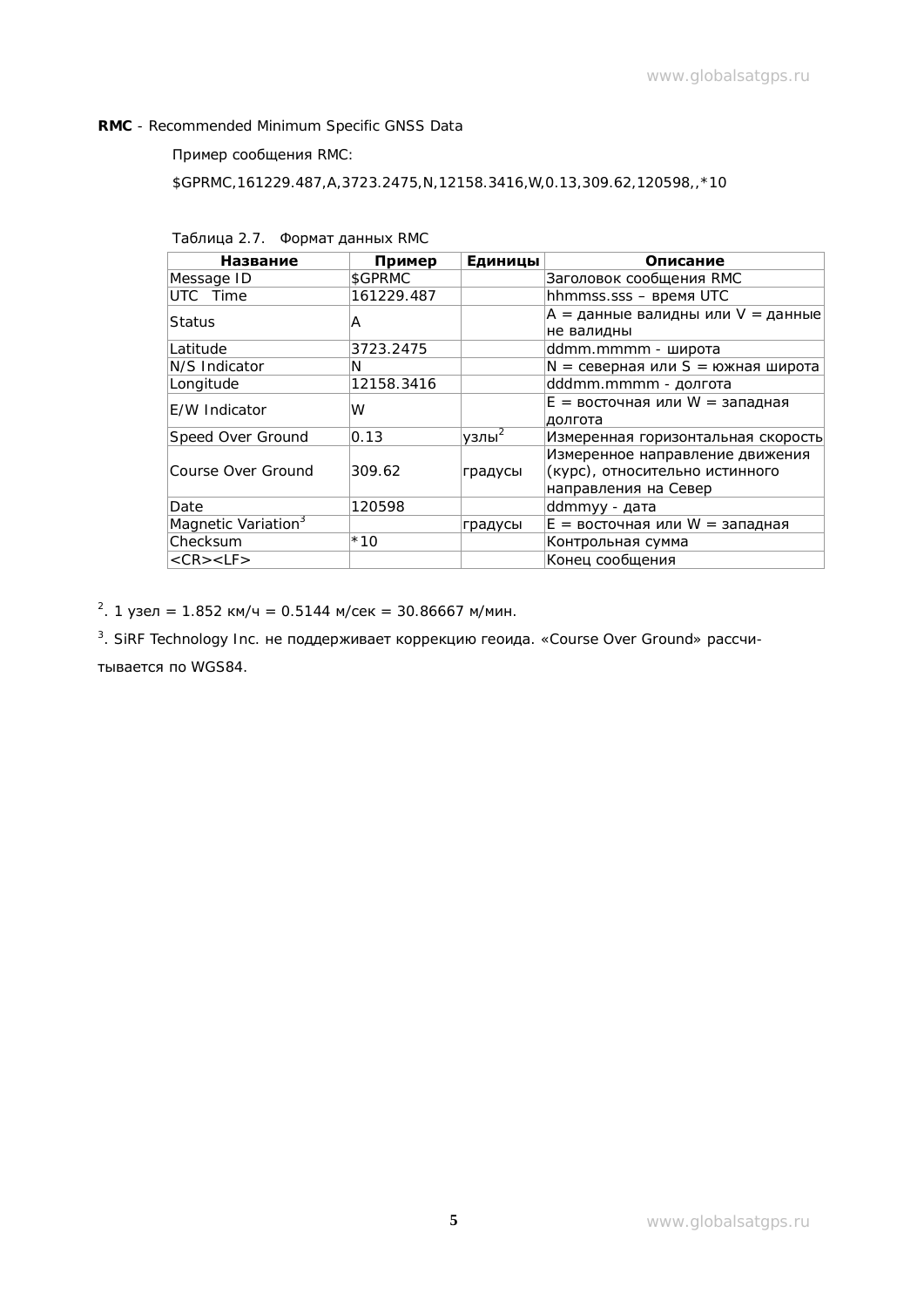#### **RMC** - Recommended Minimum Specific GNSS Data

### Пример сообщения RMC:

\$GPRMC,161229.487,A,3723.2475,N,12158.3416,W,0.13,309.62,120598,,\*10

| Таблица 2.7. | Формат данных RMC |
|--------------|-------------------|
|--------------|-------------------|

| Название                        | Пример     | Единицы      | Описание                            |
|---------------------------------|------------|--------------|-------------------------------------|
| Message ID                      | \$GPRMC    |              | Заголовок сообщения RMC             |
| UTC Time                        | 161229.487 |              | hhmmss.sss - время UTC              |
| Status                          | A          |              | A = данные валидны или V = данные   |
|                                 |            |              | не валидны                          |
| Latitude                        | 3723.2475  |              | ddmm.mmmm - широта                  |
| N/S Indicator                   | N          |              | $N =$ северная или S = южная широта |
| Longitude                       | 12158.3416 |              | dddmm.mmmm - долгота                |
| E/W Indicator                   | W          |              | $E =$ восточная или $W =$ западная  |
|                                 |            |              | долгота                             |
| Speed Over Ground               | 0.13       | $y$ злы $^2$ | Измеренная горизонтальная скорость  |
|                                 |            |              | Измеренное направление движения     |
| Course Over Ground              | 309.62     | градусы      | (курс), относительно истинного      |
|                                 |            |              | направления на Север                |
| Date                            | 120598     |              | ddmmyy - дата                       |
| Magnetic Variation <sup>3</sup> |            | градусы      | $E =$ восточная или $W =$ западная  |
| Checksum                        | $*10$      |              | Контрольная сумма                   |
| $<$ CR $>$ $<$ LF $>$           |            |              | Конец сообщения                     |

<sup>2</sup>. 1 узел = 1.852 км/ч = 0.5144 м/сек = 30.86667 м/мин.

<sup>3</sup>. SiRF Technology Inc. не поддерживает коррекцию геоида. «Course Over Ground» рассчи-

тывается по WGS84.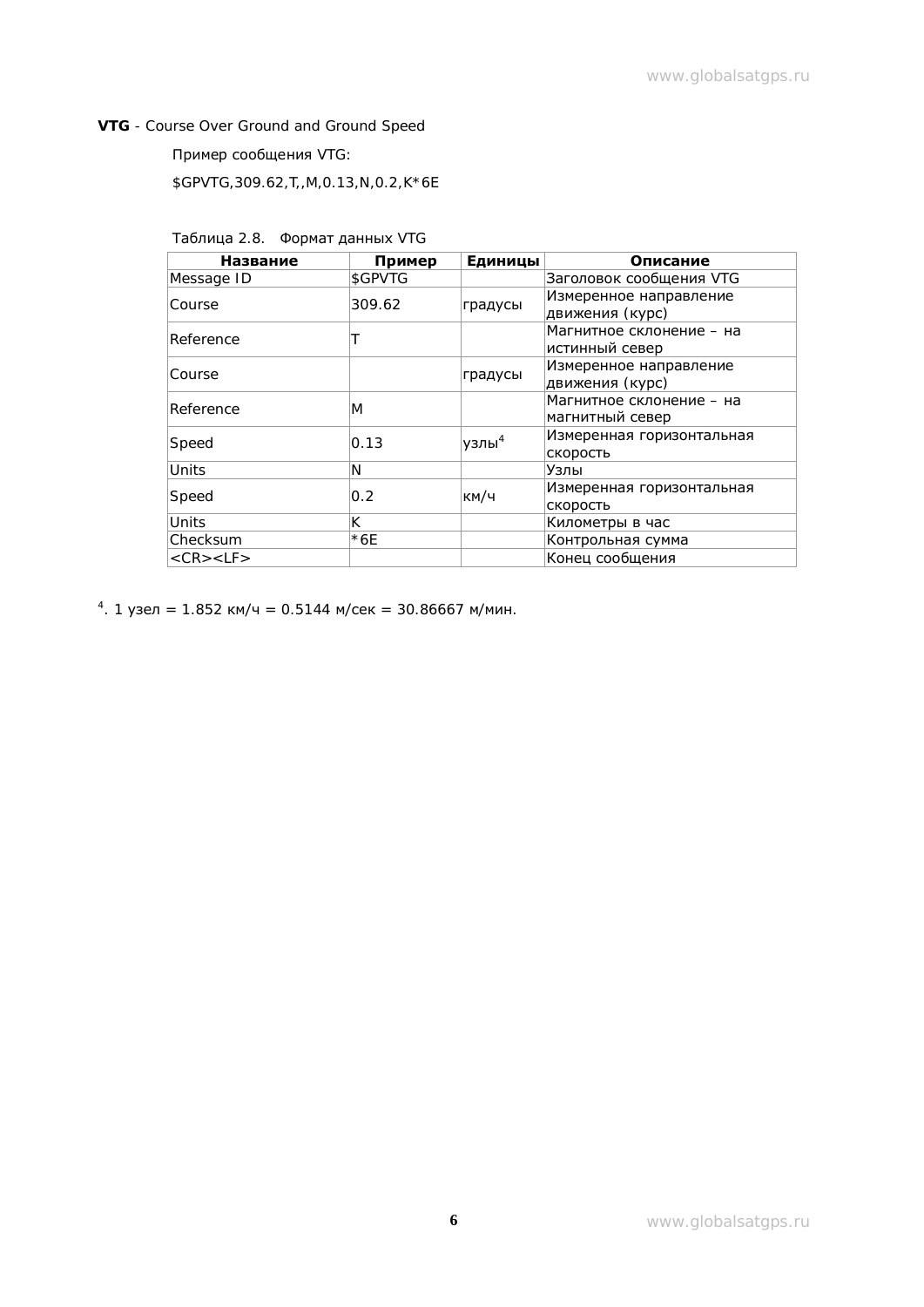## **VTG** - Course Over Ground and Ground Speed

Пример сообщения VTG:

\$GPVTG,309.62,T,,M,0.13,N,0.2,K\*6E

| Таблица 2.8. Формат данных VTG |  |  |
|--------------------------------|--|--|
|                                |  |  |

| <b>Название</b>       | Пример  | Единицы  | Описание                                   |
|-----------------------|---------|----------|--------------------------------------------|
| Message ID            | \$GPVTG |          | Заголовок сообщения VTG                    |
| Course                | 309.62  | градусы  | Измеренное направление<br>движения (курс)  |
| Reference             |         |          | Магнитное склонение - на<br>истинный север |
| Course                |         | градусы  | Измеренное направление<br>движения (курс)  |
| Reference             | M       |          | Магнитное склонение - на                   |
|                       |         |          | магнитный север                            |
| Speed                 | 0.13    | узлы $4$ | Измеренная горизонтальная                  |
|                       |         |          | скорость                                   |
| Units                 | N       |          | Узлы                                       |
| Speed                 | 0.2     | км/ч     | Измеренная горизонтальная                  |
|                       |         |          | скорость                                   |
| <b>Units</b>          | K       |          | Километры в час                            |
| Checksum              | $*6E$   |          | Контрольная сумма                          |
| $<$ CR $>$ $<$ LF $>$ |         |          | Конец сообщения                            |

<sup>4</sup>. 1 узел = 1.852 км/ч = 0.5144 м/сек = 30.86667 м/мин.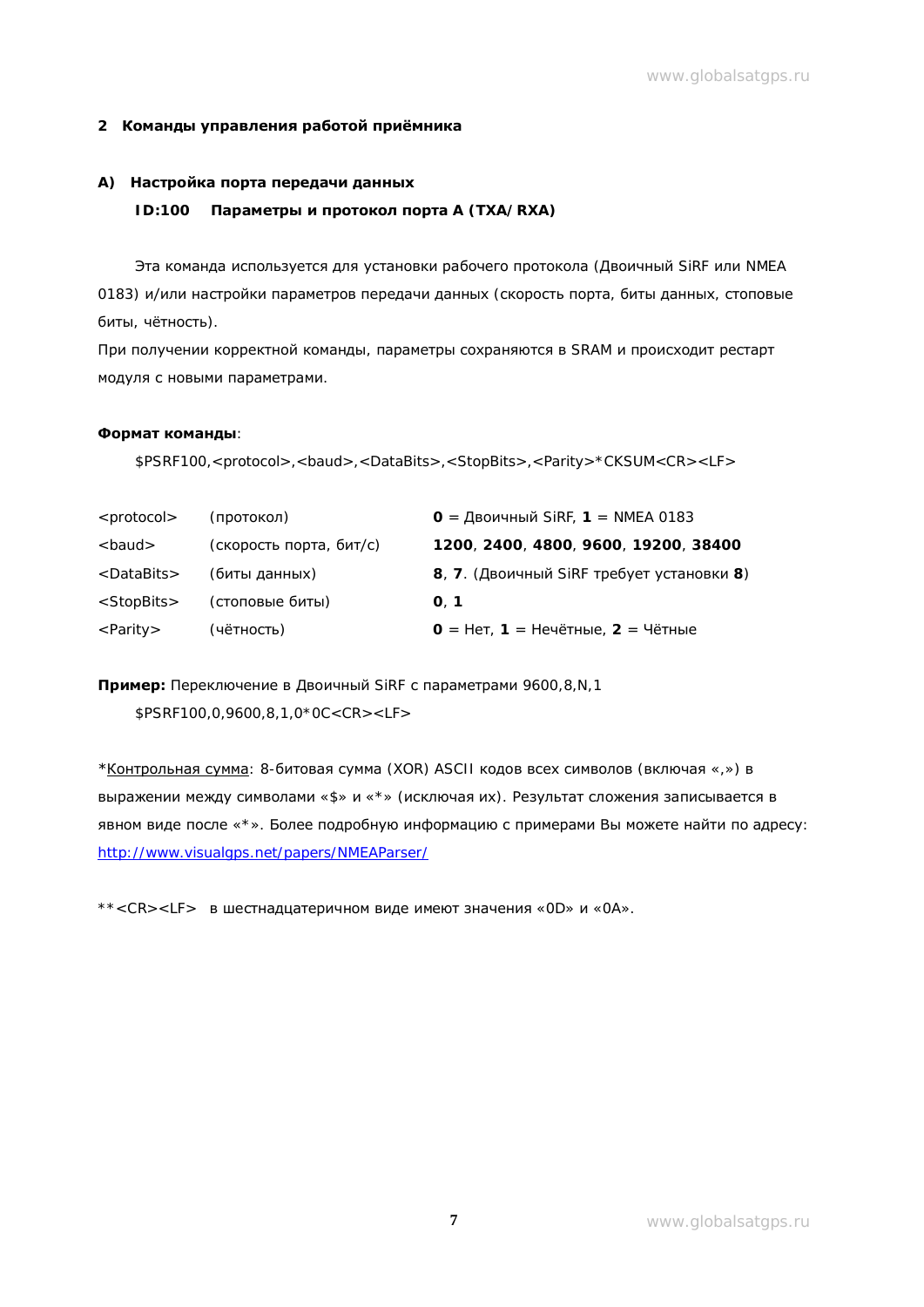#### $2$  **Команды управления работой приёмника**

#### А) **Настройка порта передачи данных**

#### **ID:100 • Параметры и протокол порта** A (TXA/RXA)

Эта команда используется для установки рабочего протокола (Двоичный SiRF или NMEA 0183) и/или настройки параметров передачи данных (скорость порта, биты данных, стоповые биты, чётность).

При получении корректной команды, параметры сохраняются в SRAM и происходит рестарт модуля с новыми параметрами.

#### Формат команды:

\$PSRF100,<protocol>,<baud>,<DataBits>,<StopBits>,<Parity>\*CKSUM<CR><LF>

| <protocol></protocol> | (протокол)              | $O = \Delta$ воичный SiRF, 1 = NMEA 0183  |
|-----------------------|-------------------------|-------------------------------------------|
| <baud></baud>         | (скорость порта, бит/с) | 1200, 2400, 4800, 9600, 19200, 38400      |
| <databits></databits> | (биты данных)           | 8, 7. (Двоичный SiRF требует установки 8) |
| $<$ StopBits $>$      | (стоповые биты)         | O.1                                       |
| $\langle$ Parity>     | (чётность)              | 0 = Нет, 1 = Нечётные, 2 = Чётные         |

Пример: Переключение в Двоичный SiRF с параметрами 9600,8,N,1 \$PSRF100,0,9600,8,1,0\*0C<CR><LF>

\* Контрольная сумма: 8-битовая сумма (XOR) ASCII кодов всех символов (включая «,») в выражении между символами «\$» и «\*» (исключая их). Результат сложения записывается в явном виде после «\*». Более подробную информацию с примерами Вы можете найти по адресу: <http://www.visualgps.net/papers/NMEAParser/>

\*\*<CR><LF> в шестнадцатеричном виде имеют значения «0D» и «0A».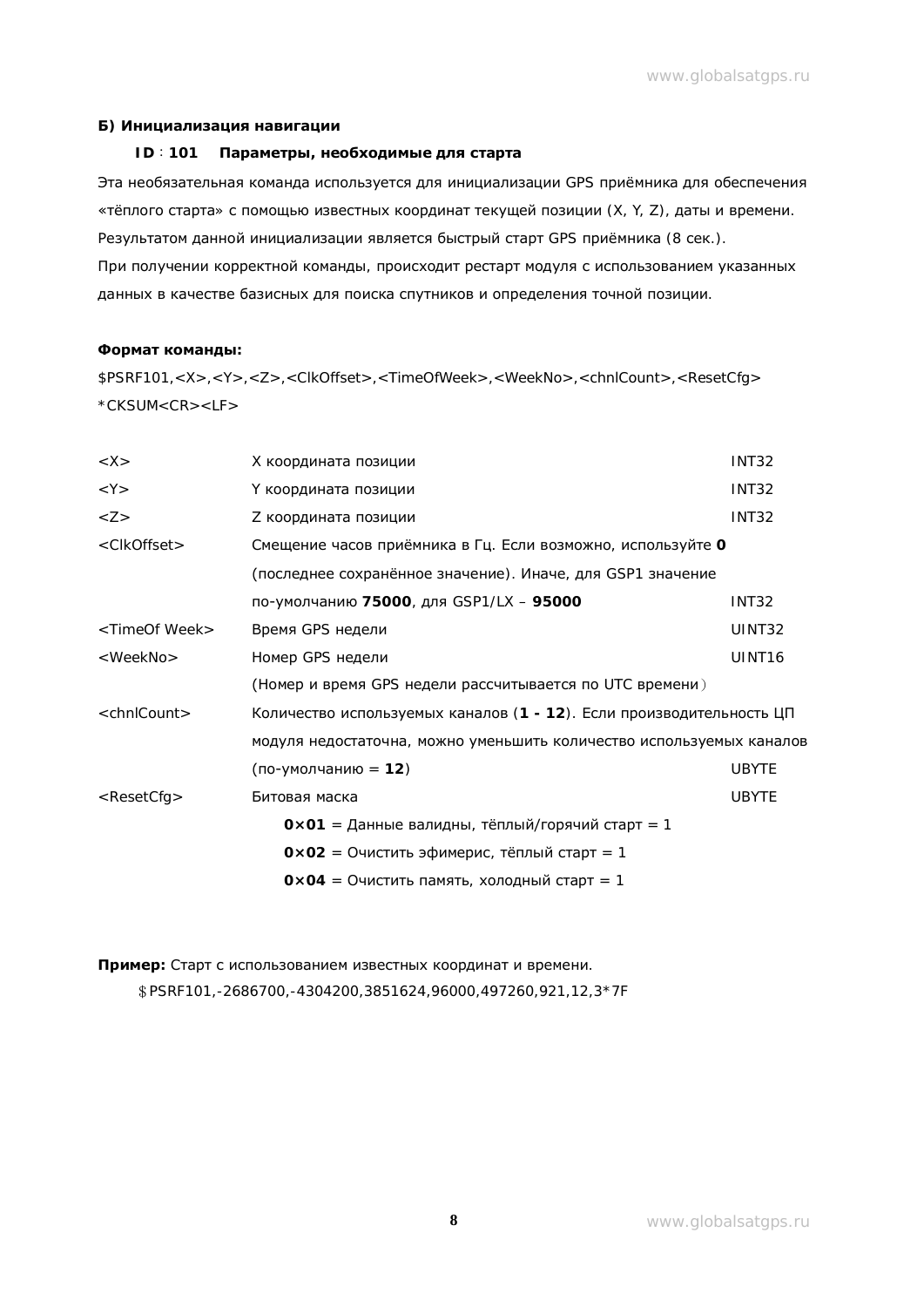#### **ǩ) ǰȕȐȞȐȈȓȐȏȈȞȐȧȕȈȊȐȋȈȞȐȐ**

#### **ID**: 101 Параметры, необходимые для старта

Эта необязательная команда используется для инициализации GPS приёмника для обеспечения «тёплого старта» с помощью известных координат текущей позиции (X, Y, Z), даты и времени. Результатом данной инициализации является быстрый старт GPS приёмника (8 сек.). При получении корректной команды, происходит рестарт модуля с использованием указанных данных в качестве базисных для поиска спутников и определения точной позиции.

#### **ǼȖȘȔȈȚȒȖȔȈȕȌȣ:**

\$PSRF101,<X>,<Y>,<Z>,<ClkOffset>,<TimeOfWeek>,<WeekNo>,<chnlCount>,<ResetCfg> \*CKSUM<CR><LF>

| $<$ $X>$                  | Х координата позиции                                                 | <b>INT32</b>       |
|---------------------------|----------------------------------------------------------------------|--------------------|
| $<$ Y $>$                 | Ү координата позиции                                                 | <b>INT32</b>       |
| $<$ Z $>$                 | Z координата позиции                                                 | <b>INT32</b>       |
| <clkoffset></clkoffset>   | Смещение часов приёмника в Гц. Если возможно, используйте О          |                    |
|                           | (последнее сохранённое значение). Иначе, для GSP1 значение           |                    |
|                           | по-умолчанию 75000, для GSP1/LX - 95000                              | INT <sub>32</sub>  |
| <timeof week=""></timeof> | Время GPS недели                                                     | UINT32             |
| <weekno></weekno>         | Номер GPS недели                                                     | UINT <sub>16</sub> |
|                           | (Номер и время GPS недели рассчитывается по UTC времени)             |                    |
| $\le$ chnlCount $>$       | Количество используемых каналов (1 - 12). Если производительность ЦП |                    |
|                           | модуля недостаточна, можно уменьшить количество используемых каналов |                    |
|                           | (по-умолчанию = 12)                                                  | <b>UBYTE</b>       |
| $<$ ResetCfg $>$          | Битовая маска                                                        | <b>UBYTE</b>       |
|                           | $0 \times 01 =$ Данные валидны, тёплый/горячий старт = 1             |                    |
|                           | $0 \times 02 = 0$ чистить эфимерис, тёплый старт = 1                 |                    |
|                           | $0 \times 04 = 0$ чистить память, холодный старт = 1                 |                    |

Пример: Старт с использованием известных координат и времени.  $$$  PSRF101,-2686700,-4304200,3851624,96000,497260,921,12,3\*7F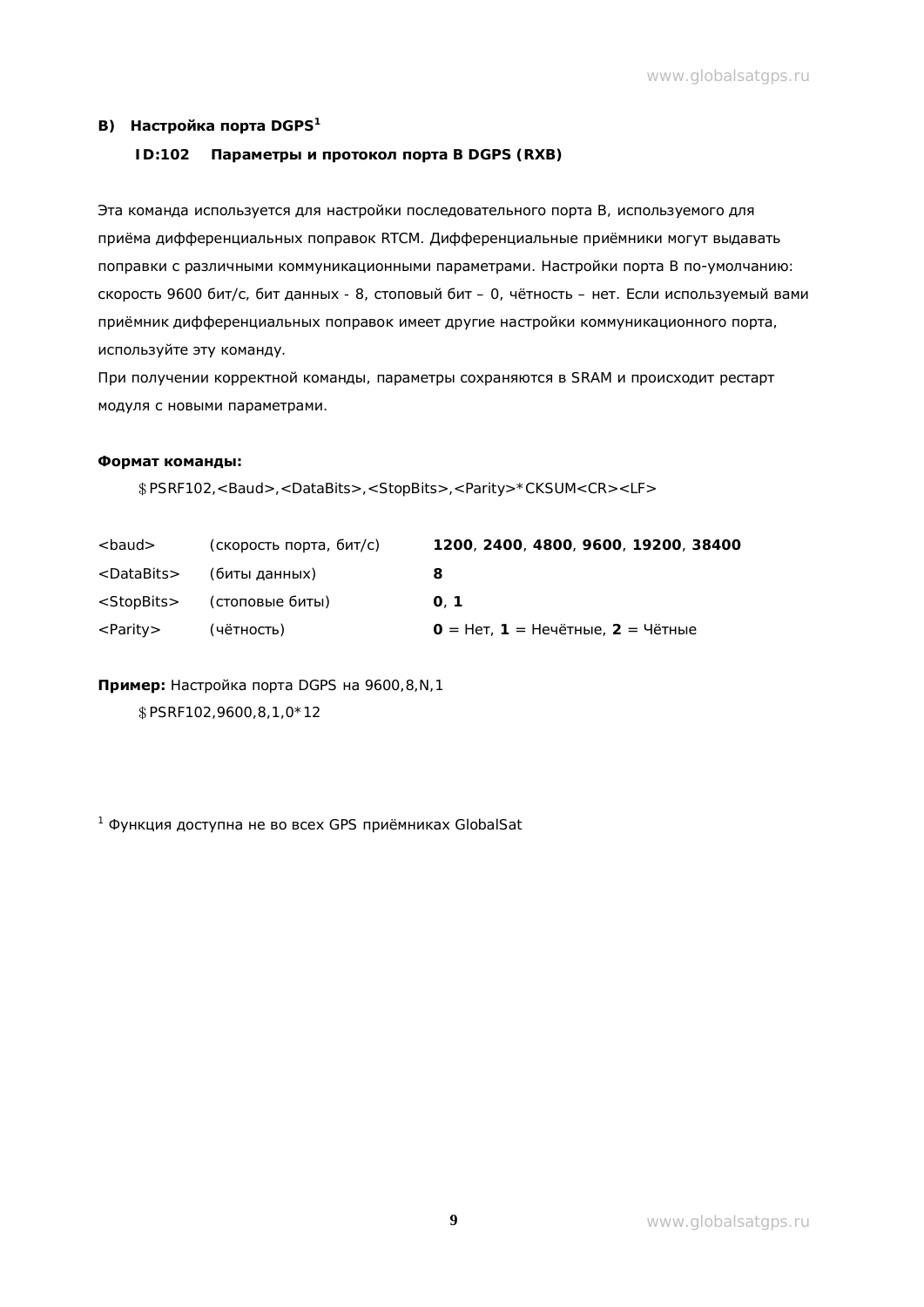#### **В) Настройка порта** DGPS<sup>1</sup>

#### **ID:102 Параметры и протокол порта** B DGPS (RXB)

Эта команда используется для настройки последовательного порта В, используемого для приёма дифференциальных поправок RTCM. Дифференциальные приёмники могут выдавать поправки с различными коммуникационными параметрами. Настройки порта В по-умолчанию: скорость 9600 бит/с, бит данных - 8, стоповый бит - 0, чётность - нет. Если используемый вами приёмник дифференциальных поправок имеет другие настройки коммуникационного порта, используйте эту команду.

При получении корректной команды, параметры сохраняются в SRAM и происходит рестарт модуля с новыми параметрами.

#### **ǼȖȘȔȈȚȒȖȔȈȕȌȣ:**

гPSRF102,<Baud>,<DataBits>,<StopBits>,<Parity>\*CKSUM<CR><LF>

| <baud></baud>         | (скорость порта, бит/с) | 1200, 2400, 4800, 9600, 19200, 38400 |
|-----------------------|-------------------------|--------------------------------------|
| <databits></databits> | (биты данных)           | 8                                    |
| <stopbits></stopbits> | (стоповые биты)         | $\Omega$ . 1                         |
| <parity></parity>     | (чётность)              | 0 = Нет, 1 = Нечётные, 2 = Чётные    |

Пример: Настройка порта DGPS на 9600,8,N,1

\$PSRF102,9600,8,1,0\*12

<sup>1</sup> Функция доступна не во всех GPS приёмниках GlobalSat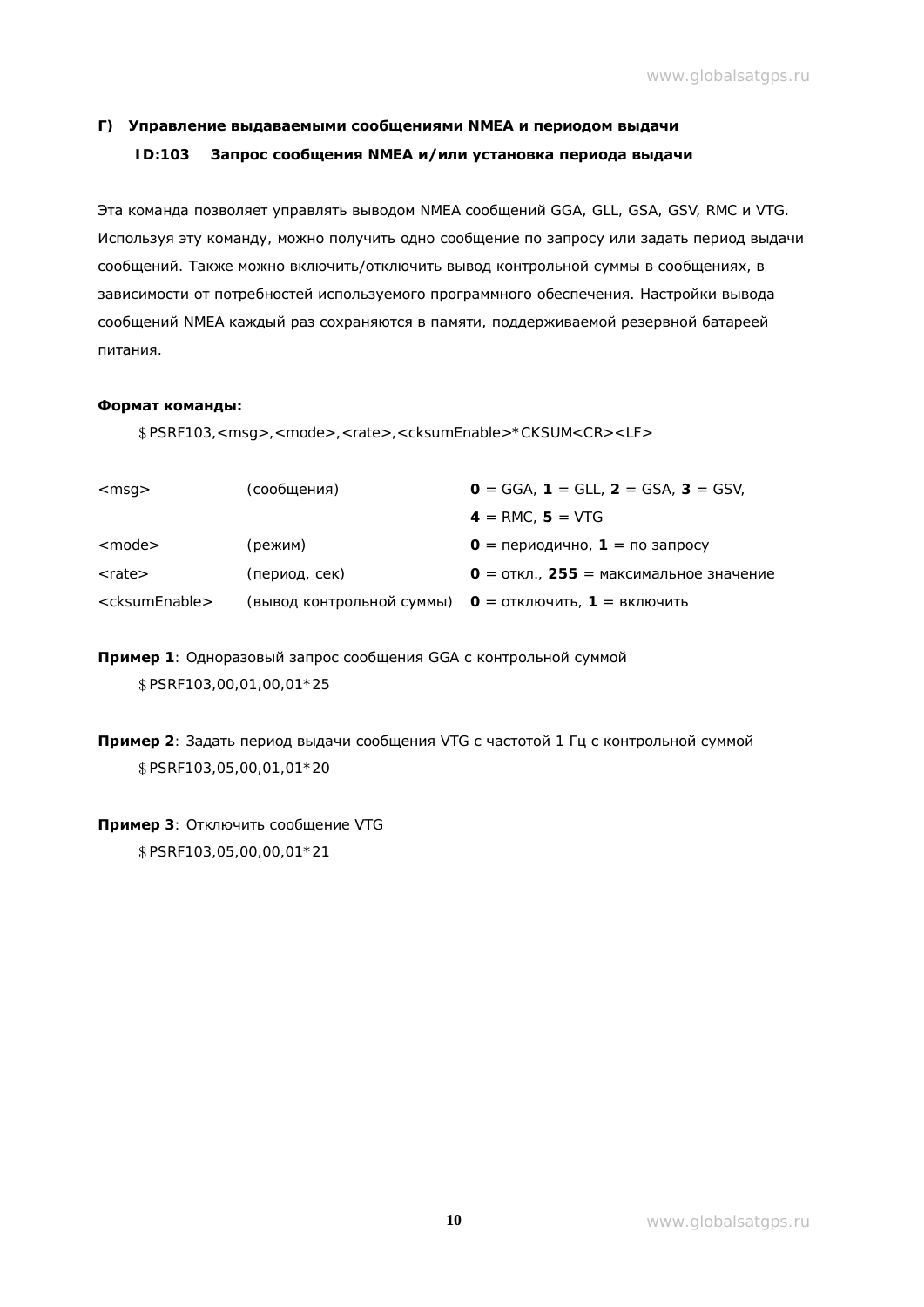# $\Gamma$ ) Управление выдаваемыми сообщениями NMEA и периодом выдачи **ID:103** Запрос сообщения NMEA и/или установка периода выдачи

Эта команда позволяет управлять выводом NMEA сообщений GGA, GLL, GSA, GSV, RMC и VTG. Используя эту команду, можно получить одно сообщение по запросу или задать период выдачи сообщений. Также можно включить/отключить вывод контрольной суммы в сообщениях, в зависимости от потребностей используемого программного обеспечения. Настройки вывода сообщений NMEA каждый раз сохраняются в памяти, поддерживаемой резервной батареей питания.

#### **ǼȖȘȔȈȚȒȖȔȈȕȌȣ:**

гPSRF103,<msg>,<mode>,<rate>,<cksumEnable>\*CKSUM<CR><LF>

| $<$ msq $>$                 | (сообщения)   | $0 = GGA$ , 1 = GLL, 2 = GSA, 3 = GSV,                       |
|-----------------------------|---------------|--------------------------------------------------------------|
|                             |               | $4 = RMC, 5 = VTG$                                           |
| $<$ mode $>$                | (режим)       | $0 = \text{периодично}$ , 1 = по запросу                     |
| <rate></rate>               | (период, сек) | $0 =$ откл., 255 = максимальное значение                     |
| <cksumenable></cksumenable> |               | (вывод контрольной суммы)    O =  отключить,  1  =  включить |

Пример 1: Одноразовый запрос сообщения GGA с контрольной суммой  $$$  PSRF103,00,01,00,01 \* 25

Пример 2: Задать период выдачи сообщения VTG с частотой 1 Гц с контрольной суммой \$PSRF103,05,00,01,01\*20

#### Пример 3: Отключить сообщение VTG

\$PSRF103,05,00,00,01\*21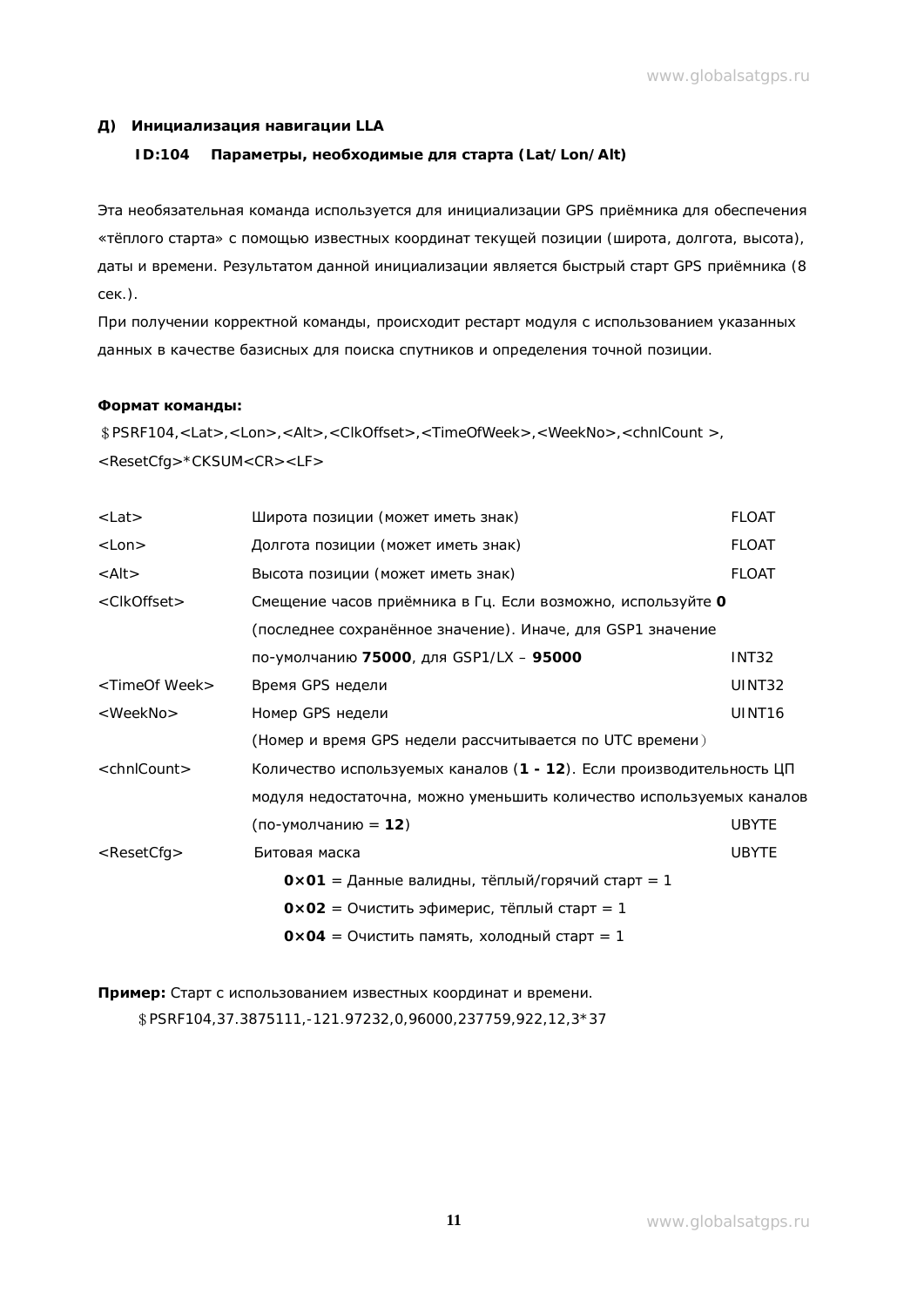#### **Д) Инициализация навигации** LLA

#### **ID:104 Параметры, необходимые для старта** (Lat/Lon/Alt)

Эта необязательная команда используется для инициализации GPS приёмника для обеспечения «тёплого старта» с помощью известных координат текущей позиции (широта, долгота, высота), даты и времени. Результатом данной инициализации является быстрый старт GPS приёмника (8 cek.).

При получении корректной команды, происходит рестарт модуля с использованием указанных данных в качестве базисных для поиска спутников и определения точной позиции.

#### **ǼȖȘȔȈȚȒȖȔȈȕȌȣ:**

гPSRF104,<Lat>,<Lon>,<Alt>,<ClkOffset>,<TimeOfWeek>,<WeekNo>,<chnlCount >, <ResetCfg>\*CKSUM<CR><LF>

| $<$ Lat $>$               | Широта позиции (может иметь знак)                                    | <b>FLOAT</b>       |
|---------------------------|----------------------------------------------------------------------|--------------------|
| $<$ Lon $>$               | Долгота позиции (может иметь знак)                                   | <b>FLOAT</b>       |
| $\langle$ Alt $>$         | Высота позиции (может иметь знак)                                    | <b>FLOAT</b>       |
| <clkoffset></clkoffset>   | Смещение часов приёмника в Гц. Если возможно, используйте О          |                    |
|                           | (последнее сохранённое значение). Иначе, для GSP1 значение           |                    |
|                           | по-умолчанию 75000, для GSP1/LX - 95000                              | INT <sub>32</sub>  |
| <timeof week=""></timeof> | Время GPS недели                                                     | UINT32             |
| <weekno></weekno>         | Номер GPS недели                                                     | UINT <sub>16</sub> |
|                           | (Номер и время GPS недели рассчитывается по UTC времени)             |                    |
| $\le$ chnlCount $>$       | Количество используемых каналов (1 - 12). Если производительность ЦП |                    |
|                           | модуля недостаточна, можно уменьшить количество используемых каналов |                    |
|                           | (по-умолчанию = 12)                                                  | <b>UBYTE</b>       |
| $<$ ResetCfg $>$          | Битовая маска                                                        | <b>UBYTE</b>       |
|                           | $0 \times 01$ = Данные валидны, тёплый/горячий старт = 1             |                    |
|                           | $0 \times 02 = 0$ чистить эфимерис, тёплый старт = 1                 |                    |
|                           | $0 \times 04 = 0$ чистить память, холодный старт = 1                 |                    |

Пример: Старт с использованием известных координат и времени.

гPSRF104,37.3875111,-121.97232,0,96000,237759,922,12,3\*37